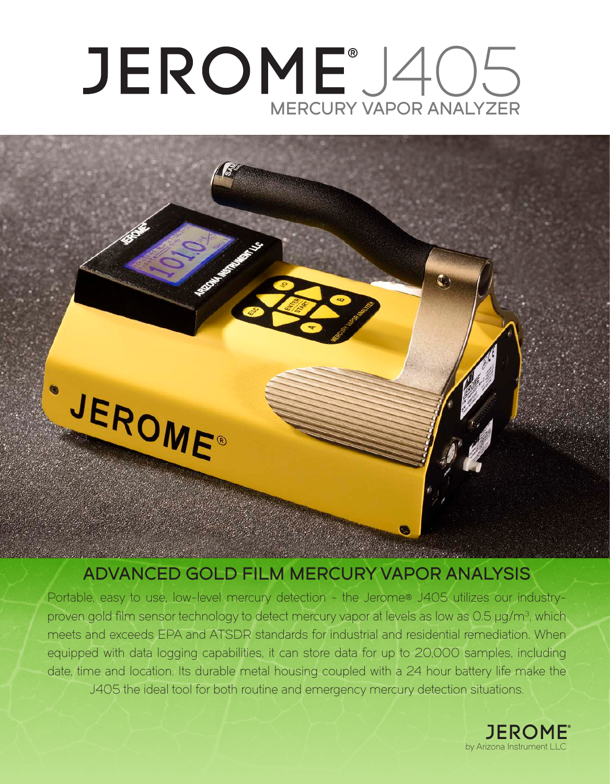# JEROME°J405 MERCURY VAPOR ANALYZER



# ADVANCED GOLD FILM MERCURY VAPOR ANALYSIS

Portable, easy to use, low-level mercury detection - the Jerome® J405 utilizes our industryproven gold film sensor technology to detect mercury vapor at levels as low as 0.5 µg/m<sup>3</sup>, which meets and exceeds EPA and ATSDR standards for industrial and residential remediation. When equipped with data logging capabilities, it can store data for up to 20,000 samples, including date, time and location. Its durable metal housing coupled with a 24 hour battery life make the J405 the ideal tool for both routine and emergency mercury detection situations.